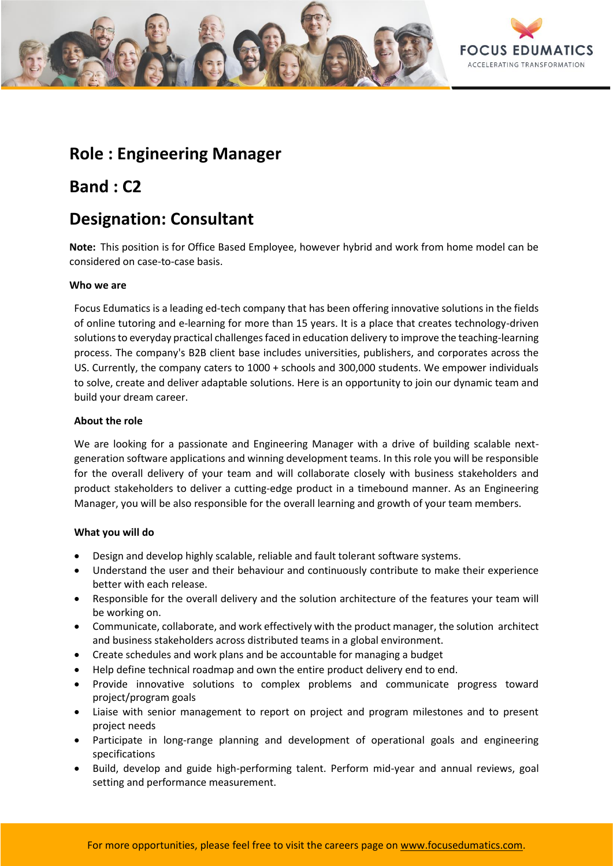

## **Role : Engineering Manager**

## **Band : C2**

# **Designation: Consultant**

**Note:** This position is for Office Based Employee, however hybrid and work from home model can be considered on case-to-case basis.

### **Who we are**

Focus Edumatics is a leading ed-tech company that has been offering innovative solutions in the fields of online tutoring and e-learning for more than 15 years. It is a place that creates technology-driven solutions to everyday practical challenges faced in education delivery to improve the teaching-learning process. The company's B2B client base includes universities, publishers, and corporates across the US. Currently, the company caters to 1000 + schools and 300,000 students. We empower individuals to solve, create and deliver adaptable solutions. Here is an opportunity to join our dynamic team and build your dream career.

### **About the role**

We are looking for a passionate and Engineering Manager with a drive of building scalable nextgeneration software applications and winning development teams. In this role you will be responsible for the overall delivery of your team and will collaborate closely with business stakeholders and product stakeholders to deliver a cutting-edge product in a timebound manner. As an Engineering Manager, you will be also responsible for the overall learning and growth of your team members.

## **What you will do**

- Design and develop highly scalable, reliable and fault tolerant software systems.
- Understand the user and their behaviour and continuously contribute to make their experience better with each release.
- Responsible for the overall delivery and the solution architecture of the features your team will be working on.
- Communicate, collaborate, and work effectively with the product manager, the solution architect and business stakeholders across distributed teams in a global environment.
- Create schedules and work plans and be accountable for managing a budget
- Help define technical roadmap and own the entire product delivery end to end.
- Provide innovative solutions to complex problems and communicate progress toward project/program goals
- Liaise with senior management to report on project and program milestones and to present project needs
- Participate in long-range planning and development of operational goals and engineering specifications
- Build, develop and guide high-performing talent. Perform mid-year and annual reviews, goal setting and performance measurement.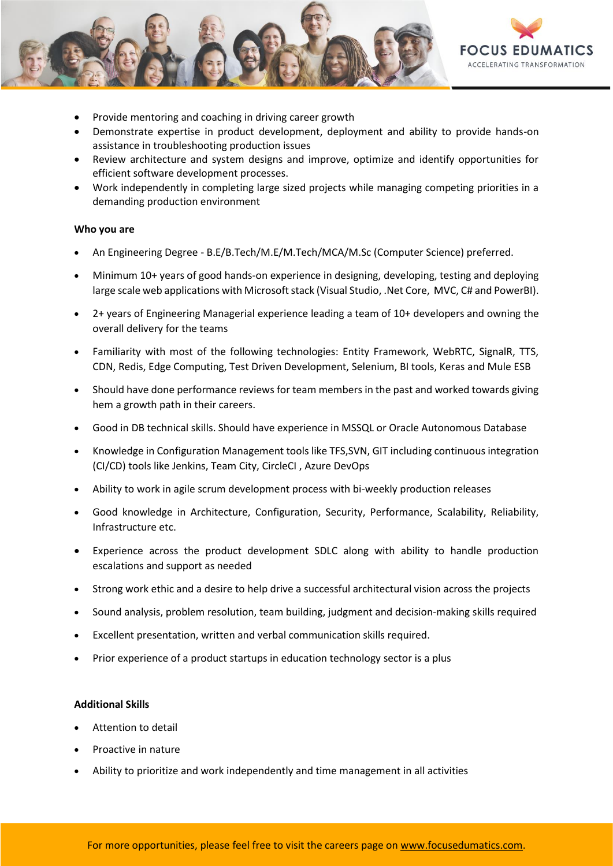

- Provide mentoring and coaching in driving career growth
- Demonstrate expertise in product development, deployment and ability to provide hands-on assistance in troubleshooting production issues
- Review architecture and system designs and improve, optimize and identify opportunities for efficient software development processes.
- Work independently in completing large sized projects while managing competing priorities in a demanding production environment

#### **Who you are**

- An Engineering Degree B.E/B.Tech/M.E/M.Tech/MCA/M.Sc (Computer Science) preferred.
- Minimum 10+ years of good hands-on experience in designing, developing, testing and deploying large scale web applications with Microsoft stack (Visual Studio, .Net Core, MVC, C# and PowerBI).
- 2+ years of Engineering Managerial experience leading a team of 10+ developers and owning the overall delivery for the teams
- Familiarity with most of the following technologies: Entity Framework, WebRTC, SignalR, TTS, CDN, Redis, Edge Computing, Test Driven Development, Selenium, BI tools, Keras and Mule ESB
- Should have done performance reviews for team members in the past and worked towards giving hem a growth path in their careers.
- Good in DB technical skills. Should have experience in MSSQL or Oracle Autonomous Database
- Knowledge in Configuration Management tools like TFS,SVN, GIT including continuous integration (CI/CD) tools like Jenkins, Team City, CircleCI , Azure DevOps
- Ability to work in agile scrum development process with bi-weekly production releases
- Good knowledge in Architecture, Configuration, Security, Performance, Scalability, Reliability, Infrastructure etc.
- Experience across the product development SDLC along with ability to handle production escalations and support as needed
- Strong work ethic and a desire to help drive a successful architectural vision across the projects
- Sound analysis, problem resolution, team building, judgment and decision-making skills required
- Excellent presentation, written and verbal communication skills required.
- Prior experience of a product startups in education technology sector is a plus

#### **Additional Skills**

- Attention to detail
- Proactive in nature
- Ability to prioritize and work independently and time management in all activities